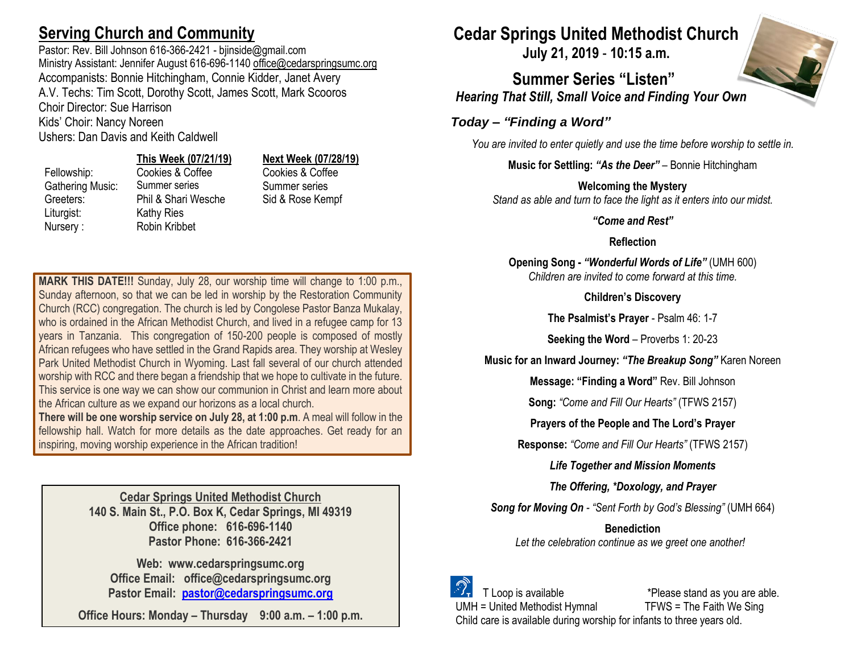## **Serving Church and Community**

Pastor: Rev. Bill Johnson 616-366-2421 - bjinside@gmail.com Ministry Assistant: Jennifer August 616-696-1140 [office@cedarspringsumc.org](mailto:office@cedarspringsumc.org) Accompanists: Bonnie Hitchingham, Connie Kidder, Janet Avery A.V. Techs: Tim Scott, Dorothy Scott, James Scott, Mark Scooros Choir Director: Sue Harrison Kids' Choir: Nancy Noreen

Ushers: Dan Davis and Keith Caldwell

#### **This Week (07/21/19) Next Week (07/28/19)**

Liturgist: Kathy Ries Nursery : Robin Kribbet

Gathering Music: Summer series Summer series Greeters: Phil & Shari Wesche Sid & Rose Kempf

Fellowship: Cookies & Coffee Cookies & Coffee

**MARK THIS DATE!!!** Sunday, July 28, our worship time will change to 1:00 p.m., Sunday afternoon, so that we can be led in worship by the Restoration Community Church (RCC) congregation. The church is led by Congolese Pastor Banza Mukalay, who is ordained in the African Methodist Church, and lived in a refugee camp for 13 years in Tanzania. This congregation of 150-200 people is composed of mostly African refugees who have settled in the Grand Rapids area. They worship at Wesley Park United Methodist Church in Wyoming. Last fall several of our church attended worship with RCC and there began a friendship that we hope to cultivate in the future. This service is one way we can show our communion in Christ and learn more about the African culture as we expand our horizons as a local church.

**There will be one worship service on July 28, at 1:00 p.m**. A meal will follow in the fellowship hall. Watch for more details as the date approaches. Get ready for an inspiring, moving worship experience in the African tradition!

> **Cedar Springs United Methodist Church 140 S. Main St., P.O. Box K, Cedar Springs, MI 49319 Office phone: 616-696-1140 Pastor Phone: 616-366-2421**

**Web: www.cedarspringsumc.org Office Email: office@cedarspringsumc.org Pastor Email: [pastor@cedarspringsumc.org](mailto:pastor@cedarspringsumc.org)**

**Office Hours: Monday – Thursday 9:00 a.m. – 1:00 p.m.**

# **Cedar Springs United Methodist Church**

**July 21, 2019** - **10:15 a.m.**

**Summer Series "Listen"** *Hearing That Still, Small Voice and Finding Your Own*

### *Today – "Finding a Word"*

*You are invited to enter quietly and use the time before worship to settle in.*

**Music for Settling:** *"As the Deer"* – Bonnie Hitchingham

**Welcoming the Mystery**

*Stand as able and turn to face the light as it enters into our midst.*

*"Come and Rest"*

**Reflection**

**Opening Song -** *"Wonderful Words of Life"* (UMH 600) *Children are invited to come forward at this time.*

**Children's Discovery**

**The Psalmist's Prayer** - Psalm 46: 1-7

**Seeking the Word** – Proverbs 1: 20-23

**Music for an Inward Journey:** *"The Breakup Song"* Karen Noreen

**Message: "Finding a Word"** Rev. Bill Johnson

**Song:** *"Come and Fill Our Hearts"* (TFWS 2157)

**Prayers of the People and The Lord's Prayer**

**Response:** *"Come and Fill Our Hearts"* (TFWS 2157)

*Life Together and Mission Moments*

*The Offering, \*Doxology, and Prayer*

*Song for Moving On - "Sent Forth by God's Blessing"* (UMH 664)

**Benediction** *Let the celebration continue as we greet one another!*



 T Loop is available \*Please stand as you are able. UMH = United Methodist Hymnal TFWS = The Faith We Sing Child care is available during worship for infants to three years old.